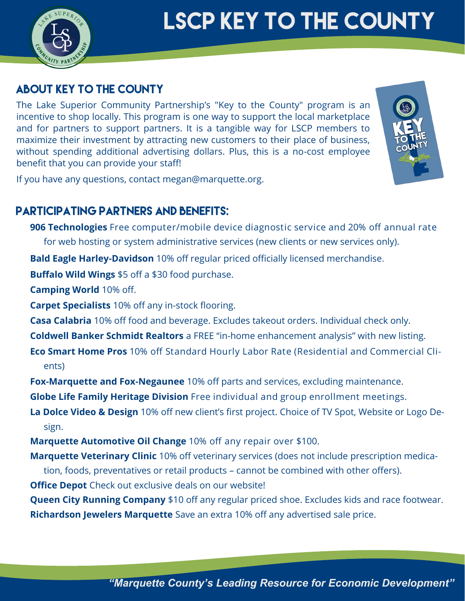

# **LSCP KEY TO THE COUNTY**

### **ABOUT KEY TO THE COUNTY**

The Lake Superior Community Partnership's "Key to the County" program is an incentive to shop locally. This program is one way to support the local marketplace and for partners to support partners. It is a tangible way for LSCP members to maximize their investment by attracting new customers to their place of business, without spending additional advertising dollars. Plus, this is a no-cost employee benefit that you can provide your staff!



If you have any questions, contact megan@marquette.org.

## **PARTICIPATING PARTNERS AND BENEFITS:**

**906 Technologies** Free computer/mobile device diagnostic service and 20% off annual rate for web hosting or system administrative services (new clients or new services only).

**Bald Eagle Harley-Davidson** 10% off regular priced officially licensed merchandise.

**Buffalo Wild Wings** \$5 off a \$30 food purchase.

**Camping World** 10% off.

**Carpet Specialists** 10% off any in-stock flooring.

**Casa Calabria** 10% off food and beverage. Excludes takeout orders. Individual check only.

**Coldwell Banker Schmidt Realtors** a FREE "in-home enhancement analysis" with new listing.

**Eco Smart Home Pros** 10% off Standard Hourly Labor Rate (Residential and Commercial Clients)

**Fox-Marquette and Fox-Negaunee** 10% off parts and services, excluding maintenance.

**Globe Life Family Heritage Division** Free individual and group enrollment meetings.

**La Dolce Video & Design** 10% off new client's first project. Choice of TV Spot, Website or Logo Design.

**Marquette Automotive Oil Change** 10% off any repair over \$100.

**Marquette Veterinary Clinic** 10% off veterinary services (does not include prescription medica-

tion, foods, preventatives or retail products – cannot be combined with other offers).

**Office Depot** Check out exclusive deals on our website!

**Queen City Running Company** \$10 off any regular priced shoe. Excludes kids and race footwear. **Richardson Jewelers Marquette** Save an extra 10% off any advertised sale price.